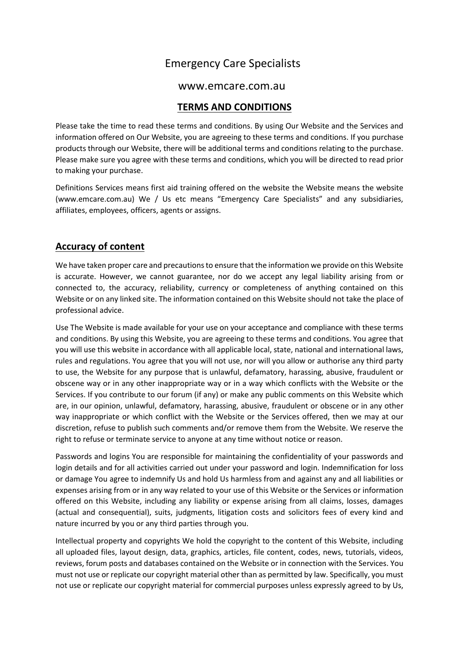# Emergency Care Specialists

#### www.emcare.com.au

#### **TERMS AND CONDITIONS**

Please take the time to read these terms and conditions. By using Our Website and the Services and information offered on Our Website, you are agreeing to these terms and conditions. If you purchase products through our Website, there will be additional terms and conditions relating to the purchase. Please make sure you agree with these terms and conditions, which you will be directed to read prior to making your purchase.

Definitions Services means first aid training offered on the website the Website means the website (www.emcare.com.au) We / Us etc means "Emergency Care Specialists" and any subsidiaries, affiliates, employees, officers, agents or assigns.

#### **Accuracy of content**

We have taken proper care and precautions to ensure that the information we provide on this Website is accurate. However, we cannot guarantee, nor do we accept any legal liability arising from or connected to, the accuracy, reliability, currency or completeness of anything contained on this Website or on any linked site. The information contained on this Website should not take the place of professional advice.

Use The Website is made available for your use on your acceptance and compliance with these terms and conditions. By using this Website, you are agreeing to these terms and conditions. You agree that you will use this website in accordance with all applicable local, state, national and international laws, rules and regulations. You agree that you will not use, nor will you allow or authorise any third party to use, the Website for any purpose that is unlawful, defamatory, harassing, abusive, fraudulent or obscene way or in any other inappropriate way or in a way which conflicts with the Website or the Services. If you contribute to our forum (if any) or make any public comments on this Website which are, in our opinion, unlawful, defamatory, harassing, abusive, fraudulent or obscene or in any other way inappropriate or which conflict with the Website or the Services offered, then we may at our discretion, refuse to publish such comments and/or remove them from the Website. We reserve the right to refuse or terminate service to anyone at any time without notice or reason.

Passwords and logins You are responsible for maintaining the confidentiality of your passwords and login details and for all activities carried out under your password and login. Indemnification for loss or damage You agree to indemnify Us and hold Us harmless from and against any and all liabilities or expenses arising from or in any way related to your use of this Website or the Services or information offered on this Website, including any liability or expense arising from all claims, losses, damages (actual and consequential), suits, judgments, litigation costs and solicitors fees of every kind and nature incurred by you or any third parties through you.

Intellectual property and copyrights We hold the copyright to the content of this Website, including all uploaded files, layout design, data, graphics, articles, file content, codes, news, tutorials, videos, reviews, forum posts and databases contained on the Website or in connection with the Services. You must not use or replicate our copyright material other than as permitted by law. Specifically, you must not use or replicate our copyright material for commercial purposes unless expressly agreed to by Us,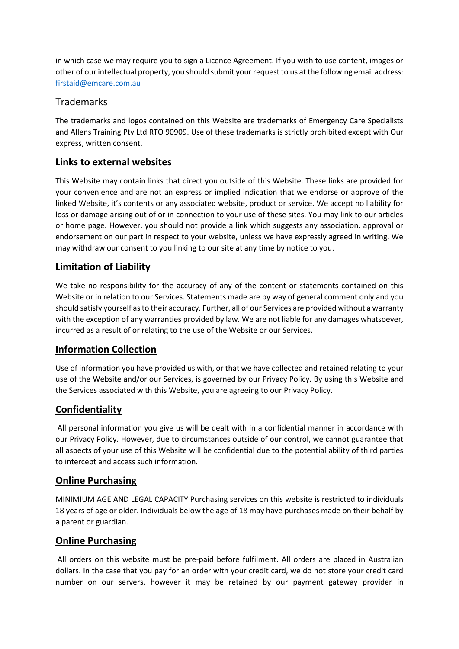in which case we may require you to sign a Licence Agreement. If you wish to use content, images or other of our intellectual property, you should submit your request to us at the following email address: [firstaid@emcare.com.au](mailto:firstaid@emcare.com.au)

# Trademarks

The trademarks and logos contained on this Website are trademarks of Emergency Care Specialists and Allens Training Pty Ltd RTO 90909. Use of these trademarks is strictly prohibited except with Our express, written consent.

## **Links to external websites**

This Website may contain links that direct you outside of this Website. These links are provided for your convenience and are not an express or implied indication that we endorse or approve of the linked Website, it's contents or any associated website, product or service. We accept no liability for loss or damage arising out of or in connection to your use of these sites. You may link to our articles or home page. However, you should not provide a link which suggests any association, approval or endorsement on our part in respect to your website, unless we have expressly agreed in writing. We may withdraw our consent to you linking to our site at any time by notice to you.

## **Limitation of Liability**

We take no responsibility for the accuracy of any of the content or statements contained on this Website or in relation to our Services. Statements made are by way of general comment only and you should satisfy yourself as to their accuracy. Further, all of our Services are provided without a warranty with the exception of any warranties provided by law. We are not liable for any damages whatsoever, incurred as a result of or relating to the use of the Website or our Services.

## **Information Collection**

Use of information you have provided us with, or that we have collected and retained relating to your use of the Website and/or our Services, is governed by our Privacy Policy. By using this Website and the Services associated with this Website, you are agreeing to our Privacy Policy.

## **Confidentiality**

All personal information you give us will be dealt with in a confidential manner in accordance with our Privacy Policy. However, due to circumstances outside of our control, we cannot guarantee that all aspects of your use of this Website will be confidential due to the potential ability of third parties to intercept and access such information.

## **Online Purchasing**

MINIMIUM AGE AND LEGAL CAPACITY Purchasing services on this website is restricted to individuals 18 years of age or older. Individuals below the age of 18 may have purchases made on their behalf by a parent or guardian.

#### **Online Purchasing**

All orders on this website must be pre-paid before fulfilment. All orders are placed in Australian dollars. In the case that you pay for an order with your credit card, we do not store your credit card number on our servers, however it may be retained by our payment gateway provider in